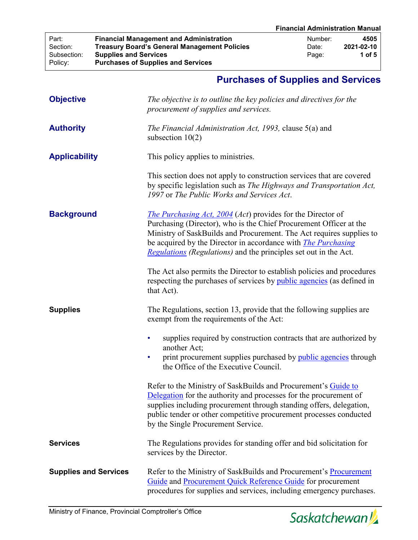## **Purchases of Supplies and Services**

| <b>Objective</b>             | The objective is to outline the key policies and directives for the<br>procurement of supplies and services.                                                                                                                                                                                                                                                 |  |  |
|------------------------------|--------------------------------------------------------------------------------------------------------------------------------------------------------------------------------------------------------------------------------------------------------------------------------------------------------------------------------------------------------------|--|--|
| <b>Authority</b>             | The Financial Administration Act, 1993, clause 5(a) and<br>subsection $10(2)$                                                                                                                                                                                                                                                                                |  |  |
| <b>Applicability</b>         | This policy applies to ministries.                                                                                                                                                                                                                                                                                                                           |  |  |
|                              | This section does not apply to construction services that are covered<br>by specific legislation such as The Highways and Transportation Act,<br>1997 or The Public Works and Services Act.                                                                                                                                                                  |  |  |
| <b>Background</b>            | <i>The Purchasing Act, 2004 (Act)</i> provides for the Director of<br>Purchasing (Director), who is the Chief Procurement Officer at the<br>Ministry of SaskBuilds and Procurement. The Act requires supplies to<br>be acquired by the Director in accordance with <i>The Purchasing</i><br>Regulations (Regulations) and the principles set out in the Act. |  |  |
|                              | The Act also permits the Director to establish policies and procedures<br>respecting the purchases of services by public agencies (as defined in<br>that Act).                                                                                                                                                                                               |  |  |
| <b>Supplies</b>              | The Regulations, section 13, provide that the following supplies are<br>exempt from the requirements of the Act:                                                                                                                                                                                                                                             |  |  |
|                              | supplies required by construction contracts that are authorized by<br>another Act;<br>print procurement supplies purchased by <i>public agencies</i> through<br>the Office of the Executive Council.                                                                                                                                                         |  |  |
|                              | Refer to the Ministry of SaskBuilds and Procurement's Guide to<br><b>Delegation</b> for the authority and processes for the procurement of<br>supplies including procurement through standing offers, delegation,<br>public tender or other competitive procurement processes conducted<br>by the Single Procurement Service.                                |  |  |
| <b>Services</b>              | The Regulations provides for standing offer and bid solicitation for<br>services by the Director.                                                                                                                                                                                                                                                            |  |  |
| <b>Supplies and Services</b> | Refer to the Ministry of SaskBuilds and Procurement's Procurement<br>Guide and Procurement Quick Reference Guide for procurement<br>procedures for supplies and services, including emergency purchases.                                                                                                                                                     |  |  |

Policy: **Purchases of Supplies and Services**

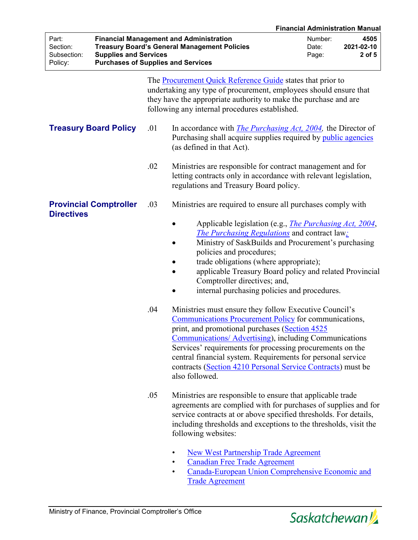|                                             |                                                                           |                                                                                                                                                                           |                                                                                                                                                                                                                                                                                                                                                                                                                                                               |                           | <b>Financial Administration Manual</b> |
|---------------------------------------------|---------------------------------------------------------------------------|---------------------------------------------------------------------------------------------------------------------------------------------------------------------------|---------------------------------------------------------------------------------------------------------------------------------------------------------------------------------------------------------------------------------------------------------------------------------------------------------------------------------------------------------------------------------------------------------------------------------------------------------------|---------------------------|----------------------------------------|
| Part:<br>Section:<br>Subsection:<br>Policy: | <b>Supplies and Services</b><br><b>Purchases of Supplies and Services</b> |                                                                                                                                                                           | <b>Financial Management and Administration</b><br><b>Treasury Board's General Management Policies</b>                                                                                                                                                                                                                                                                                                                                                         | Number:<br>Date:<br>Page: | 4505<br>2021-02-10<br>2 of 5           |
|                                             |                                                                           |                                                                                                                                                                           | The <b>Procurement Quick Reference Guide</b> states that prior to<br>undertaking any type of procurement, employees should ensure that<br>they have the appropriate authority to make the purchase and are<br>following any internal procedures established.                                                                                                                                                                                                  |                           |                                        |
| <b>Treasury Board Policy</b>                | .01                                                                       | In accordance with <i>The Purchasing Act, 2004</i> , the Director of<br>Purchasing shall acquire supplies required by <i>public agencies</i><br>(as defined in that Act). |                                                                                                                                                                                                                                                                                                                                                                                                                                                               |                           |                                        |
|                                             |                                                                           | .02                                                                                                                                                                       | Ministries are responsible for contract management and for<br>letting contracts only in accordance with relevant legislation,<br>regulations and Treasury Board policy.                                                                                                                                                                                                                                                                                       |                           |                                        |
| <b>Directives</b>                           | <b>Provincial Comptroller</b>                                             | .03                                                                                                                                                                       | Ministries are required to ensure all purchases comply with<br>Applicable legislation (e.g., <i>The Purchasing Act, 2004</i> ,<br><b>The Purchasing Regulations</b> and contract law:<br>Ministry of SaskBuilds and Procurement's purchasing<br>policies and procedures;<br>trade obligations (where appropriate);<br>applicable Treasury Board policy and related Provincial<br>Comptroller directives; and,<br>internal purchasing policies and procedures. |                           |                                        |
|                                             | .04                                                                       |                                                                                                                                                                           | Ministries must ensure they follow Executive Council's<br><b>Communications Procurement Policy for communications,</b><br>print, and promotional purchases (Section 4525<br><b>Communications/ Advertising)</b> , including Communications<br>Services' requirements for processing procurements on the<br>central financial system. Requirements for personal service<br>contracts (Section 4210 Personal Service Contracts) must be<br>also followed.       |                           |                                        |
|                                             |                                                                           | .05                                                                                                                                                                       | Ministries are responsible to ensure that applicable trade<br>agreements are complied with for purchases of supplies and for<br>service contracts at or above specified thresholds. For details,<br>including thresholds and exceptions to the thresholds, visit the<br>following websites:                                                                                                                                                                   |                           |                                        |
|                                             |                                                                           |                                                                                                                                                                           | <b>New West Partnership Trade Agreement</b><br><b>Canadian Free Trade Agreement</b>                                                                                                                                                                                                                                                                                                                                                                           |                           |                                        |

• [Canada-European Union Comprehensive Economic and](https://www.international.gc.ca/trade-commerce/trade-agreements-accords-commerciaux/agr-acc/ceta-aecg/index.aspx?lang=eng)  [Trade Agreement](https://www.international.gc.ca/trade-commerce/trade-agreements-accords-commerciaux/agr-acc/ceta-aecg/index.aspx?lang=eng)

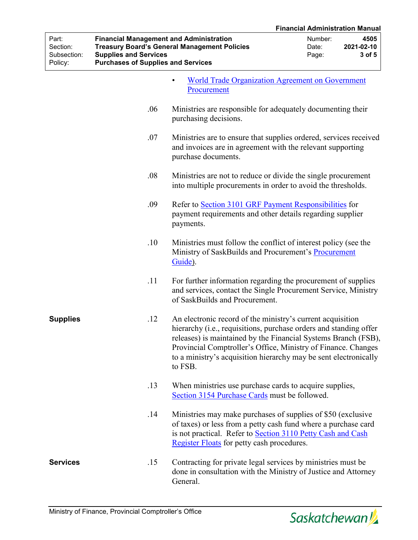|                                             |                                                                                                                             |                                                                                                                                                                                                                                                                                                                                                   |                                                                                                                               | <b>Financial Administration Manual</b> |  |
|---------------------------------------------|-----------------------------------------------------------------------------------------------------------------------------|---------------------------------------------------------------------------------------------------------------------------------------------------------------------------------------------------------------------------------------------------------------------------------------------------------------------------------------------------|-------------------------------------------------------------------------------------------------------------------------------|----------------------------------------|--|
| Part:<br>Section:<br>Subsection:<br>Policy: | <b>Financial Management and Administration</b><br><b>Supplies and Services</b><br><b>Purchases of Supplies and Services</b> | <b>Treasury Board's General Management Policies</b>                                                                                                                                                                                                                                                                                               | Number:<br>Date:<br>Page:                                                                                                     | 4505<br>2021-02-10<br>3 of 5           |  |
|                                             |                                                                                                                             | <b>World Trade Organization Agreement on Government</b><br>Procurement                                                                                                                                                                                                                                                                            |                                                                                                                               |                                        |  |
|                                             | .06                                                                                                                         | Ministries are responsible for adequately documenting their<br>purchasing decisions.                                                                                                                                                                                                                                                              |                                                                                                                               |                                        |  |
|                                             | .07                                                                                                                         | Ministries are to ensure that supplies ordered, services received<br>and invoices are in agreement with the relevant supporting<br>purchase documents.                                                                                                                                                                                            |                                                                                                                               |                                        |  |
|                                             | .08                                                                                                                         |                                                                                                                                                                                                                                                                                                                                                   | Ministries are not to reduce or divide the single procurement<br>into multiple procurements in order to avoid the thresholds. |                                        |  |
|                                             | .09                                                                                                                         | Refer to Section 3101 GRF Payment Responsibilities for<br>payment requirements and other details regarding supplier<br>payments.                                                                                                                                                                                                                  |                                                                                                                               |                                        |  |
|                                             | .10                                                                                                                         | Ministries must follow the conflict of interest policy (see the<br>Ministry of SaskBuilds and Procurement's Procurement<br>Guide).                                                                                                                                                                                                                |                                                                                                                               |                                        |  |
|                                             | .11                                                                                                                         | For further information regarding the procurement of supplies<br>and services, contact the Single Procurement Service, Ministry<br>of SaskBuilds and Procurement.                                                                                                                                                                                 |                                                                                                                               |                                        |  |
| <b>Supplies</b>                             | .12                                                                                                                         | An electronic record of the ministry's current acquisition<br>hierarchy (i.e., requisitions, purchase orders and standing offer<br>releases) is maintained by the Financial Systems Branch (FSB),<br>Provincial Comptroller's Office, Ministry of Finance. Changes<br>to a ministry's acquisition hierarchy may be sent electronically<br>to FSB. |                                                                                                                               |                                        |  |
|                                             | .13                                                                                                                         | When ministries use purchase cards to acquire supplies,<br>Section 3154 Purchase Cards must be followed.                                                                                                                                                                                                                                          |                                                                                                                               |                                        |  |
|                                             | .14                                                                                                                         | Ministries may make purchases of supplies of \$50 (exclusive<br>of taxes) or less from a petty cash fund where a purchase card<br>is not practical. Refer to Section 3110 Petty Cash and Cash<br>Register Floats for petty cash procedures.                                                                                                       |                                                                                                                               |                                        |  |
| <b>Services</b>                             | .15                                                                                                                         | Contracting for private legal services by ministries must be<br>done in consultation with the Ministry of Justice and Attorney<br>General.                                                                                                                                                                                                        |                                                                                                                               |                                        |  |

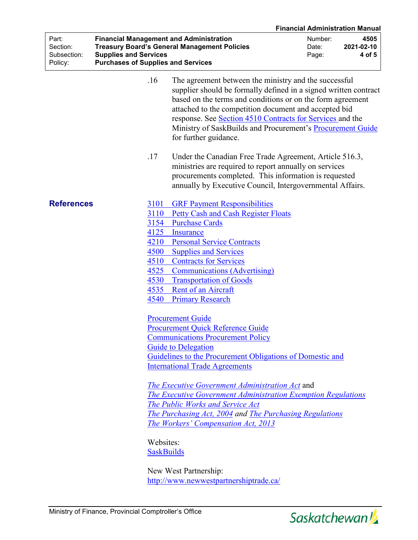|                                             |                                                                                                                             |                                                                                                                                                                                                                                                                                                                                                                                                      | <b>Financial Administration Manual</b>                    |  |
|---------------------------------------------|-----------------------------------------------------------------------------------------------------------------------------|------------------------------------------------------------------------------------------------------------------------------------------------------------------------------------------------------------------------------------------------------------------------------------------------------------------------------------------------------------------------------------------------------|-----------------------------------------------------------|--|
| Part:<br>Section:<br>Subsection:<br>Policy: | <b>Financial Management and Administration</b><br><b>Supplies and Services</b><br><b>Purchases of Supplies and Services</b> | <b>Treasury Board's General Management Policies</b>                                                                                                                                                                                                                                                                                                                                                  | Number:<br>4505<br>2021-02-10<br>Date:<br>4 of 5<br>Page: |  |
|                                             | .16                                                                                                                         | The agreement between the ministry and the successful<br>supplier should be formally defined in a signed written contract<br>based on the terms and conditions or on the form agreement<br>attached to the competition document and accepted bid<br>response. See Section 4510 Contracts for Services and the<br>Ministry of SaskBuilds and Procurement's Procurement Guide<br>for further guidance. |                                                           |  |
|                                             | .17                                                                                                                         | Under the Canadian Free Trade Agreement, Article 516.3,<br>ministries are required to report annually on services<br>procurements completed. This information is requested<br>annually by Executive Council, Intergovernmental Affairs.                                                                                                                                                              |                                                           |  |
| <b>References</b>                           | 3101                                                                                                                        | <b>GRF Payment Responsibilities</b>                                                                                                                                                                                                                                                                                                                                                                  |                                                           |  |
|                                             | 3110                                                                                                                        | <b>Petty Cash and Cash Register Floats</b>                                                                                                                                                                                                                                                                                                                                                           |                                                           |  |
|                                             | 3154                                                                                                                        | <b>Purchase Cards</b>                                                                                                                                                                                                                                                                                                                                                                                |                                                           |  |
|                                             | 4125                                                                                                                        | Insurance                                                                                                                                                                                                                                                                                                                                                                                            |                                                           |  |
|                                             | 4210                                                                                                                        | <b>Personal Service Contracts</b>                                                                                                                                                                                                                                                                                                                                                                    |                                                           |  |
|                                             | 4500                                                                                                                        | <b>Supplies and Services</b>                                                                                                                                                                                                                                                                                                                                                                         |                                                           |  |
|                                             | 4510                                                                                                                        | <b>Contracts for Services</b>                                                                                                                                                                                                                                                                                                                                                                        |                                                           |  |
|                                             | 4525                                                                                                                        | <b>Communications (Advertising)</b>                                                                                                                                                                                                                                                                                                                                                                  |                                                           |  |
|                                             | 4530                                                                                                                        | <b>Transportation of Goods</b>                                                                                                                                                                                                                                                                                                                                                                       |                                                           |  |
|                                             | 4535                                                                                                                        | Rent of an Aircraft                                                                                                                                                                                                                                                                                                                                                                                  |                                                           |  |
|                                             | 4540                                                                                                                        | <b>Primary Research</b>                                                                                                                                                                                                                                                                                                                                                                              |                                                           |  |
|                                             |                                                                                                                             | <b>Procurement Guide</b>                                                                                                                                                                                                                                                                                                                                                                             |                                                           |  |
|                                             |                                                                                                                             | <b>Procurement Quick Reference Guide</b>                                                                                                                                                                                                                                                                                                                                                             |                                                           |  |
|                                             |                                                                                                                             | <b>Communications Procurement Policy</b>                                                                                                                                                                                                                                                                                                                                                             |                                                           |  |
|                                             |                                                                                                                             | <b>Guide to Delegation</b><br>Guidelines to the Procurement Obligations of Domestic and<br><b>International Trade Agreements</b>                                                                                                                                                                                                                                                                     |                                                           |  |
|                                             |                                                                                                                             |                                                                                                                                                                                                                                                                                                                                                                                                      |                                                           |  |
|                                             |                                                                                                                             |                                                                                                                                                                                                                                                                                                                                                                                                      |                                                           |  |
|                                             |                                                                                                                             | <b>The Executive Government Administration Act and</b><br>The Executive Government Administration Exemption Regulations<br>The Public Works and Service Act<br>The Purchasing Act, 2004 and The Purchasing Regulations<br>The Workers' Compensation Act, 2013                                                                                                                                        |                                                           |  |
|                                             | Websites:<br><b>SaskBuilds</b>                                                                                              |                                                                                                                                                                                                                                                                                                                                                                                                      |                                                           |  |
|                                             |                                                                                                                             | New West Partnership:<br>http://www.newwestpartnershiptrade.ca/                                                                                                                                                                                                                                                                                                                                      |                                                           |  |